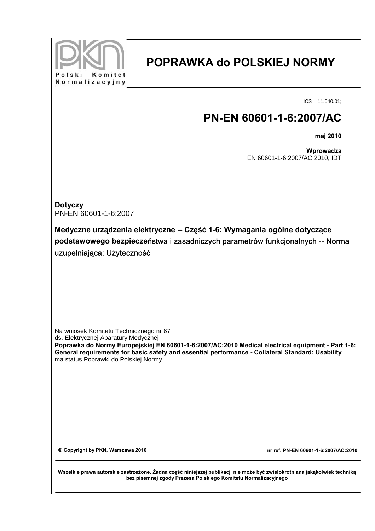

## **POPRAWKA do POLSKIEJ NORMY**

ICS 11.040.01;

## **PN-EN 60601-1-6:2007/AC**

**maj 2010**

**Wprowadza** EN 60601-1-6:2007/AC:2010, IDT

**Dotyczy** PN-EN 60601-1-6:2007

**Medyczne urządzenia elektryczne -- Część 1-6: Wymagania ogólne dotyczące podstawowego bezpiecze**ństwa i zasadniczych parametrów funkcjonalnych -- Norma uzupełniająca: Użyteczność

Na wniosek Komitetu Technicznego nr 67 ds. Elektrycznej Aparatury Medycznej **Poprawka do Normy Europejskiej EN 60601-1-6:2007/AC:2010 Medical electrical equipment - Part 1-6: General requirements for basic safety and essential performance - Collateral Standard: Usability** ma status Poprawki do Polskiej Normy

**© Copyright by PKN, Warszawa 2010 nr ref. PN-EN 60601-1-6:2007/AC:2010** 

**Wszelkie prawa autorskie zastrzeżone. Żadna część niniejszej publikacji nie może być zwielokrotniana jakąkolwiek techniką bez pisemnej zgody Prezesa Polskiego Komitetu Normalizacyjnego**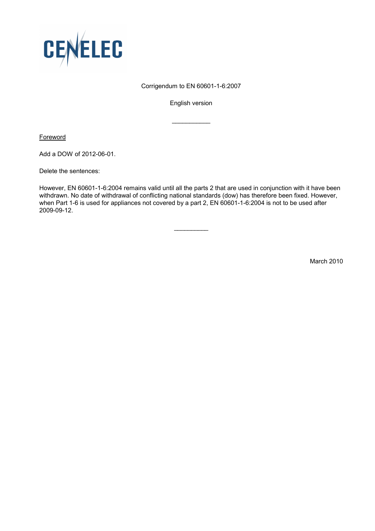

## Corrigendum to EN 60601-1-6:2007

English version

 $\frac{1}{2}$  ,  $\frac{1}{2}$  ,  $\frac{1}{2}$  ,  $\frac{1}{2}$  ,  $\frac{1}{2}$  ,  $\frac{1}{2}$  ,  $\frac{1}{2}$ 

**Foreword** 

Add a DOW of 2012-06-01.

Delete the sentences:

However, EN 60601-1-6:2004 remains valid until all the parts 2 that are used in conjunction with it have been withdrawn. No date of withdrawal of conflicting national standards (dow) has therefore been fixed. However, when Part 1-6 is used for appliances not covered by a part 2, EN 60601-1-6:2004 is not to be used after 2009-09-12.

 $\overline{\phantom{a}}$ 

March 2010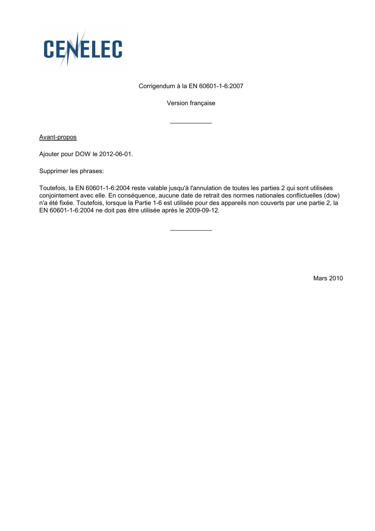

## Corrigendum à la EN 60601-1-6:2007

Version française

 $\frac{1}{2}$  ,  $\frac{1}{2}$  ,  $\frac{1}{2}$  ,  $\frac{1}{2}$  ,  $\frac{1}{2}$  ,  $\frac{1}{2}$  ,  $\frac{1}{2}$ 

Avant-propos

Ajouter pour DOW le 2012-06-01.

Supprimer les phrases:

Toutefois, la EN 60601-1-6:2004 reste valable jusqu'à l'annulation de toutes les parties 2 qui sont utilisées conjointement avec elle. En conséquence, aucune date de retrait des normes nationales conflictuelles (dow) n'a été fixée. Toutefois, lorsque la Partie 1-6 est utilisée pour des appareils non couverts par une partie 2, la EN 60601-1-6:2004 ne doit pas être utilisée après le 2009-09-12.

 $\overline{\phantom{a}}$ 

Mars 2010